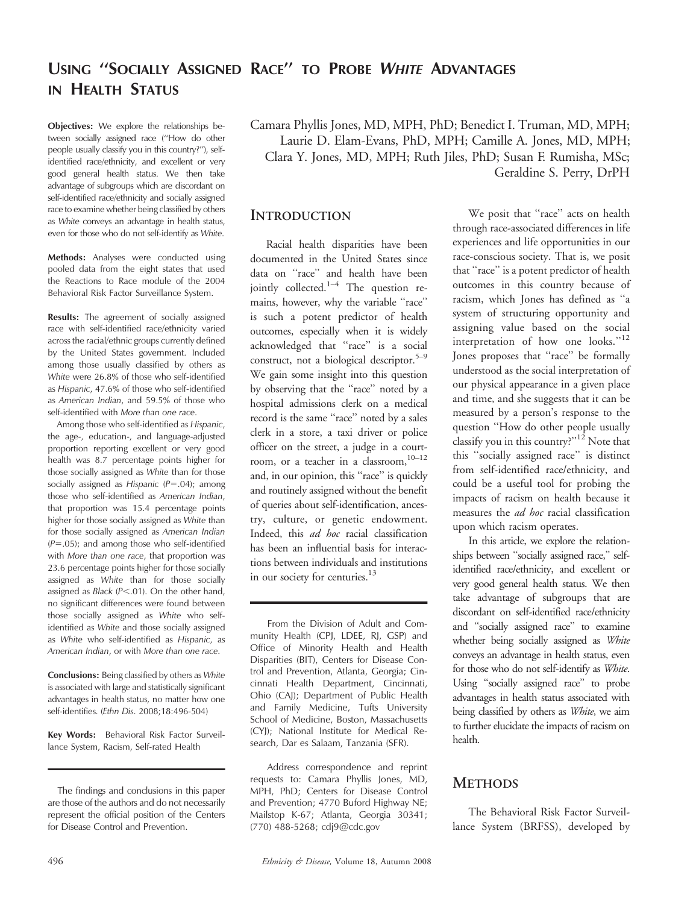Objectives: We explore the relationships between socially assigned race (''How do other people usually classify you in this country?''), selfidentified race/ethnicity, and excellent or very good general health status. We then take advantage of subgroups which are discordant on self-identified race/ethnicity and socially assigned race to examine whether being classified by others as White conveys an advantage in health status, even for those who do not self-identify as White.

Methods: Analyses were conducted using pooled data from the eight states that used the Reactions to Race module of the 2004 Behavioral Risk Factor Surveillance System.

Results: The agreement of socially assigned race with self-identified race/ethnicity varied across the racial/ethnic groups currently defined by the United States government. Included among those usually classified by others as White were 26.8% of those who self-identified as Hispanic, 47.6% of those who self-identified as American Indian, and 59.5% of those who self-identified with More than one race.

Among those who self-identified as Hispanic, the age-, education-, and language-adjusted proportion reporting excellent or very good health was 8.7 percentage points higher for those socially assigned as White than for those socially assigned as Hispanic  $(P=.04)$ ; among those who self-identified as American Indian, that proportion was 15.4 percentage points higher for those socially assigned as White than for those socially assigned as American Indian  $(P=.05)$ ; and among those who self-identified with More than one race, that proportion was 23.6 percentage points higher for those socially assigned as White than for those socially assigned as  $Black (P<.01)$ . On the other hand, no significant differences were found between those socially assigned as White who selfidentified as White and those socially assigned as White who self-identified as Hispanic, as American Indian, or with More than one race.

Conclusions: Being classified by others as White is associated with large and statistically significant advantages in health status, no matter how one self-identifies. (Ethn Dis. 2008;18:496-504)

Key Words: Behavioral Risk Factor Surveillance System, Racism, Self-rated Health

Camara Phyllis Jones, MD, MPH, PhD; Benedict I. Truman, MD, MPH; Laurie D. Elam-Evans, PhD, MPH; Camille A. Jones, MD, MPH; Clara Y. Jones, MD, MPH; Ruth Jiles, PhD; Susan F. Rumisha, MSc; Geraldine S. Perry, DrPH

### **INTRODUCTION**

Racial health disparities have been documented in the United States since data on ''race'' and health have been jointly collected. $1-4$  The question remains, however, why the variable "race" is such a potent predictor of health outcomes, especially when it is widely acknowledged that ''race'' is a social construct, not a biological descriptor.<sup>5-9</sup> We gain some insight into this question by observing that the "race" noted by a hospital admissions clerk on a medical record is the same "race" noted by a sales clerk in a store, a taxi driver or police officer on the street, a judge in a courtroom, or a teacher in a classroom,<sup>10-12</sup> and, in our opinion, this ''race'' is quickly and routinely assigned without the benefit of queries about self-identification, ancestry, culture, or genetic endowment. Indeed, this ad hoc racial classification has been an influential basis for interactions between individuals and institutions in our society for centuries.<sup>13</sup>

From the Division of Adult and Community Health (CPJ, LDEE, RJ, GSP) and Office of Minority Health and Health Disparities (BIT), Centers for Disease Control and Prevention, Atlanta, Georgia; Cincinnati Health Department, Cincinnati, Ohio (CAJ); Department of Public Health and Family Medicine, Tufts University School of Medicine, Boston, Massachusetts (CYJ); National Institute for Medical Research, Dar es Salaam, Tanzania (SFR).

Address correspondence and reprint requests to: Camara Phyllis Jones, MD, MPH, PhD; Centers for Disease Control and Prevention; 4770 Buford Highway NE; Mailstop K-67; Atlanta, Georgia 30341; (770) 488-5268; cdj9@cdc.gov

We posit that "race" acts on health through race-associated differences in life experiences and life opportunities in our race-conscious society. That is, we posit that ''race'' is a potent predictor of health outcomes in this country because of racism, which Jones has defined as ''a system of structuring opportunity and assigning value based on the social interpretation of how one looks."<sup>12</sup> Jones proposes that "race" be formally understood as the social interpretation of our physical appearance in a given place and time, and she suggests that it can be measured by a person's response to the question ''How do other people usually classify you in this country?"<sup>12</sup> Note that this ''socially assigned race'' is distinct from self-identified race/ethnicity, and could be a useful tool for probing the impacts of racism on health because it measures the ad hoc racial classification upon which racism operates.

In this article, we explore the relationships between "socially assigned race," selfidentified race/ethnicity, and excellent or very good general health status. We then take advantage of subgroups that are discordant on self-identified race/ethnicity and ''socially assigned race'' to examine whether being socially assigned as White conveys an advantage in health status, even for those who do not self-identify as White. Using ''socially assigned race'' to probe advantages in health status associated with being classified by others as White, we aim to further elucidate the impacts of racism on health.

# **METHODS**

The Behavioral Risk Factor Surveillance System (BRFSS), developed by

The findings and conclusions in this paper are those of the authors and do not necessarily represent the official position of the Centers for Disease Control and Prevention.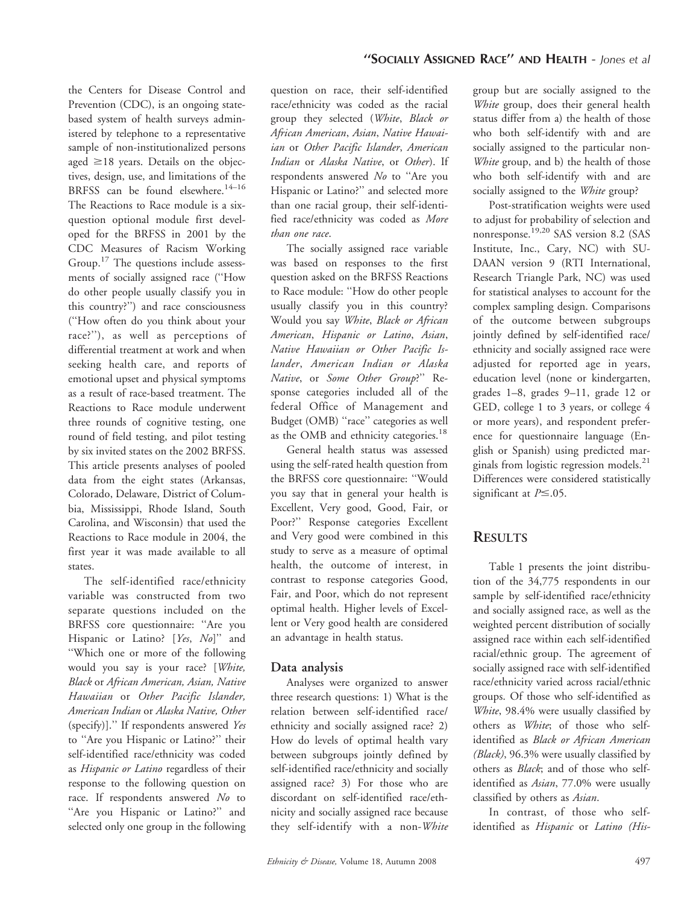the Centers for Disease Control and Prevention (CDC), is an ongoing statebased system of health surveys administered by telephone to a representative sample of non-institutionalized persons aged  $\geq$ 18 years. Details on the objectives, design, use, and limitations of the BRFSS can be found elsewhere.<sup>14-16</sup> The Reactions to Race module is a sixquestion optional module first developed for the BRFSS in 2001 by the CDC Measures of Racism Working Group.<sup>17</sup> The questions include assessments of socially assigned race (''How do other people usually classify you in this country?'') and race consciousness (''How often do you think about your race?''), as well as perceptions of differential treatment at work and when seeking health care, and reports of emotional upset and physical symptoms as a result of race-based treatment. The Reactions to Race module underwent three rounds of cognitive testing, one round of field testing, and pilot testing by six invited states on the 2002 BRFSS. This article presents analyses of pooled data from the eight states (Arkansas, Colorado, Delaware, District of Columbia, Mississippi, Rhode Island, South Carolina, and Wisconsin) that used the Reactions to Race module in 2004, the first year it was made available to all states.

The self-identified race/ethnicity variable was constructed from two separate questions included on the BRFSS core questionnaire: ''Are you Hispanic or Latino? [Yes, No]" and ''Which one or more of the following would you say is your race? [White, Black or African American, Asian, Native Hawaiian or Other Pacific Islander, American Indian or Alaska Native, Other (specify)].'' If respondents answered Yes to ''Are you Hispanic or Latino?'' their self-identified race/ethnicity was coded as Hispanic or Latino regardless of their response to the following question on race. If respondents answered No to "Are you Hispanic or Latino?" and selected only one group in the following

question on race, their self-identified race/ethnicity was coded as the racial group they selected (White, Black or African American, Asian, Native Hawaiian or Other Pacific Islander, American Indian or Alaska Native, or Other). If respondents answered No to ''Are you Hispanic or Latino?'' and selected more than one racial group, their self-identified race/ethnicity was coded as More than one race.

The socially assigned race variable was based on responses to the first question asked on the BRFSS Reactions to Race module: ''How do other people usually classify you in this country? Would you say White, Black or African American, Hispanic or Latino, Asian, Native Hawaiian or Other Pacific Islander, American Indian or Alaska Native, or Some Other Group?'' Response categories included all of the federal Office of Management and Budget (OMB) ''race'' categories as well as the OMB and ethnicity categories.<sup>18</sup>

General health status was assessed using the self-rated health question from the BRFSS core questionnaire: ''Would you say that in general your health is Excellent, Very good, Good, Fair, or Poor?'' Response categories Excellent and Very good were combined in this study to serve as a measure of optimal health, the outcome of interest, in contrast to response categories Good, Fair, and Poor, which do not represent optimal health. Higher levels of Excellent or Very good health are considered an advantage in health status.

### Data analysis

Analyses were organized to answer three research questions: 1) What is the relation between self-identified race/ ethnicity and socially assigned race? 2) How do levels of optimal health vary between subgroups jointly defined by self-identified race/ethnicity and socially assigned race? 3) For those who are discordant on self-identified race/ethnicity and socially assigned race because they self-identify with a non-White group but are socially assigned to the White group, does their general health status differ from a) the health of those who both self-identify with and are socially assigned to the particular non-White group, and b) the health of those who both self-identify with and are socially assigned to the White group?

Post-stratification weights were used to adjust for probability of selection and nonresponse.19,20 SAS version 8.2 (SAS Institute, Inc., Cary, NC) with SU-DAAN version 9 (RTI International, Research Triangle Park, NC) was used for statistical analyses to account for the complex sampling design. Comparisons of the outcome between subgroups jointly defined by self-identified race/ ethnicity and socially assigned race were adjusted for reported age in years, education level (none or kindergarten, grades 1–8, grades 9–11, grade 12 or GED, college 1 to 3 years, or college 4 or more years), and respondent preference for questionnaire language (English or Spanish) using predicted marginals from logistic regression models.<sup>21</sup> Differences were considered statistically significant at  $P \leq .05$ .

### **RESULTS**

Table 1 presents the joint distribution of the 34,775 respondents in our sample by self-identified race/ethnicity and socially assigned race, as well as the weighted percent distribution of socially assigned race within each self-identified racial/ethnic group. The agreement of socially assigned race with self-identified race/ethnicity varied across racial/ethnic groups. Of those who self-identified as White, 98.4% were usually classified by others as White; of those who selfidentified as Black or African American (Black), 96.3% were usually classified by others as Black; and of those who selfidentified as Asian, 77.0% were usually classified by others as Asian.

In contrast, of those who selfidentified as Hispanic or Latino (His-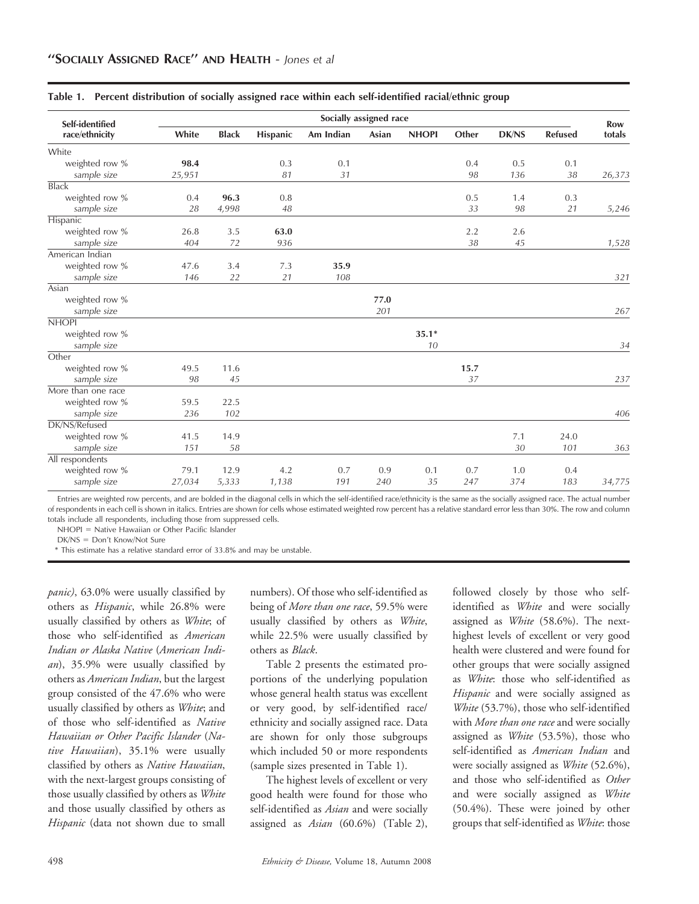| Self-identified<br>race/ethnicity | Socially assigned race |              |          |           |       |              |       |       |                |               |
|-----------------------------------|------------------------|--------------|----------|-----------|-------|--------------|-------|-------|----------------|---------------|
|                                   | White                  | <b>Black</b> | Hispanic | Am Indian | Asian | <b>NHOPI</b> | Other | DK/NS | <b>Refused</b> | Row<br>totals |
| White                             |                        |              |          |           |       |              |       |       |                |               |
| weighted row %                    | 98.4                   |              | 0.3      | 0.1       |       |              | 0.4   | 0.5   | 0.1            |               |
| sample size                       | 25,951                 |              | 81       | 31        |       |              | 98    | 136   | 38             | 26,373        |
| <b>Black</b>                      |                        |              |          |           |       |              |       |       |                |               |
| weighted row %                    | 0.4                    | 96.3         | 0.8      |           |       |              | 0.5   | 1.4   | 0.3            |               |
| sample size                       | 28                     | 4,998        | 48       |           |       |              | 33    | 98    | 21             | 5,246         |
| Hispanic                          |                        |              |          |           |       |              |       |       |                |               |
| weighted row %                    | 26.8                   | $3.5\,$      | 63.0     |           |       |              | 2.2   | 2.6   |                |               |
| sample size                       | 404                    | 72           | 936      |           |       |              | 38    | 45    |                | 1,528         |
| American Indian                   |                        |              |          |           |       |              |       |       |                |               |
| weighted row %                    | 47.6                   | 3.4          | 7.3      | 35.9      |       |              |       |       |                |               |
| sample size                       | 146                    | 22           | 21       | 108       |       |              |       |       |                | 321           |
| Asian                             |                        |              |          |           |       |              |       |       |                |               |
| weighted row %                    |                        |              |          |           | 77.0  |              |       |       |                |               |
| sample size                       |                        |              |          |           | 201   |              |       |       |                | 267           |
| <b>NHOPI</b>                      |                        |              |          |           |       |              |       |       |                |               |
| weighted row %                    |                        |              |          |           |       | $35.1*$      |       |       |                |               |
| sample size                       |                        |              |          |           |       | 10           |       |       |                | 34            |
| Other                             |                        |              |          |           |       |              |       |       |                |               |
| weighted row %                    | 49.5                   | 11.6         |          |           |       |              | 15.7  |       |                |               |
| sample size                       | 98                     | 45           |          |           |       |              | 37    |       |                | 237           |
| More than one race                |                        |              |          |           |       |              |       |       |                |               |
| weighted row %                    | 59.5                   | 22.5         |          |           |       |              |       |       |                |               |
| sample size                       | 236                    | 102          |          |           |       |              |       |       |                | 406           |
| DK/NS/Refused                     |                        |              |          |           |       |              |       |       |                |               |
| weighted row %                    | 41.5                   | 14.9         |          |           |       |              |       | 7.1   | 24.0           |               |
| sample size                       | 151                    | 58           |          |           |       |              |       | 30    | 101            | 363           |
| All respondents                   |                        |              |          |           |       |              |       |       |                |               |
| weighted row %                    | 79.1                   | 12.9         | 4.2      | 0.7       | 0.9   | 0.1          | 0.7   | 1.0   | 0.4            |               |
| sample size                       | 27,034                 | 5,333        | 1,138    | 191       | 240   | 35           | 247   | 374   | 183            | 34,775        |

|  |  |  |  |  |  |  |  | Table 1. Percent distribution of socially assigned race within each self-identified racial/ethnic group |  |  |
|--|--|--|--|--|--|--|--|---------------------------------------------------------------------------------------------------------|--|--|
|--|--|--|--|--|--|--|--|---------------------------------------------------------------------------------------------------------|--|--|

Entries are weighted row percents, and are bolded in the diagonal cells in which the self-identified race/ethnicity is the same as the socially assigned race. The actual number of respondents in each cell is shown in italics. Entries are shown for cells whose estimated weighted row percent has a relative standard error less than 30%. The row and column totals include all respondents, including those from suppressed cells.

NHOPI = Native Hawaiian or Other Pacific Islander

DK/NS = Don't Know/Not Sure

\* This estimate has a relative standard error of 33.8% and may be unstable.

panic), 63.0% were usually classified by others as Hispanic, while 26.8% were usually classified by others as White; of those who self-identified as American Indian or Alaska Native (American Indian), 35.9% were usually classified by others as American Indian, but the largest group consisted of the 47.6% who were usually classified by others as White; and of those who self-identified as Native Hawaiian or Other Pacific Islander (Native Hawaiian), 35.1% were usually classified by others as Native Hawaiian, with the next-largest groups consisting of those usually classified by others as White and those usually classified by others as Hispanic (data not shown due to small

numbers). Of those who self-identified as being of More than one race, 59.5% were usually classified by others as White, while 22.5% were usually classified by others as Black.

Table 2 presents the estimated proportions of the underlying population whose general health status was excellent or very good, by self-identified race/ ethnicity and socially assigned race. Data are shown for only those subgroups which included 50 or more respondents (sample sizes presented in Table 1).

The highest levels of excellent or very good health were found for those who self-identified as Asian and were socially assigned as Asian (60.6%) (Table 2), followed closely by those who selfidentified as White and were socially assigned as White (58.6%). The nexthighest levels of excellent or very good health were clustered and were found for other groups that were socially assigned as White: those who self-identified as Hispanic and were socially assigned as White (53.7%), those who self-identified with More than one race and were socially assigned as White (53.5%), those who self-identified as American Indian and were socially assigned as White (52.6%), and those who self-identified as Other and were socially assigned as White (50.4%). These were joined by other groups that self-identified as White: those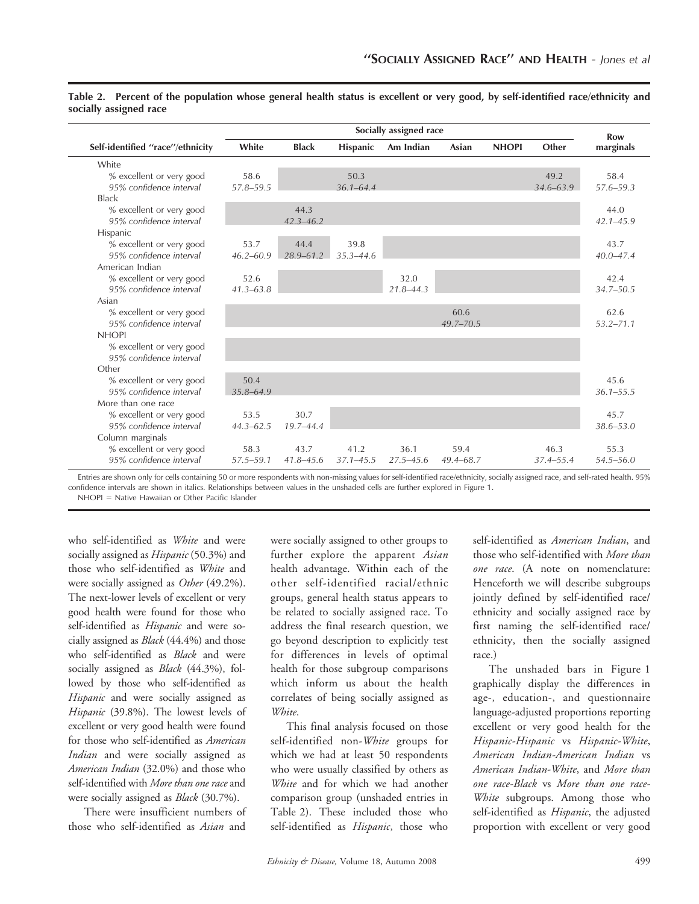|                                                     | Socially assigned race |               |                 |                       |               |              |               | Row                   |
|-----------------------------------------------------|------------------------|---------------|-----------------|-----------------------|---------------|--------------|---------------|-----------------------|
| Self-identified "race"/ethnicity                    | White                  | <b>Black</b>  | <b>Hispanic</b> | Am Indian             | Asian         | <b>NHOPI</b> | Other         | marginals             |
| White                                               |                        |               |                 |                       |               |              |               |                       |
| % excellent or very good                            | 58.6                   |               | 50.3            |                       |               |              | 49.2          | 58.4                  |
| 95% confidence interval                             | 57.8-59.5              |               | $36.1 - 64.4$   |                       |               |              | $34.6 - 63.9$ | 57.6-59.3             |
| Black                                               |                        |               |                 |                       |               |              |               |                       |
| % excellent or very good                            |                        | 44.3          |                 |                       |               |              |               | 44.0                  |
| 95% confidence interval                             |                        | $42.3 - 46.2$ |                 |                       |               |              |               | $42.1 - 45.9$         |
| Hispanic                                            |                        |               |                 |                       |               |              |               |                       |
| % excellent or very good                            | 53.7                   | 44.4          | 39.8            |                       |               |              |               | 43.7                  |
| 95% confidence interval                             | $46.2 - 60.9$          | $28.9 - 61.2$ | $35.3 - 44.6$   |                       |               |              |               | $40.0 - 47.4$         |
| American Indian                                     |                        |               |                 |                       |               |              |               |                       |
| % excellent or very good<br>95% confidence interval | 52.6<br>$41.3 - 63.8$  |               |                 | 32.0<br>$21.8 - 44.3$ |               |              |               | 42.4<br>$34.7 - 50.5$ |
| Asian                                               |                        |               |                 |                       |               |              |               |                       |
| % excellent or very good                            |                        |               |                 |                       | 60.6          |              |               | 62.6                  |
| 95% confidence interval                             |                        |               |                 |                       | $49.7 - 70.5$ |              |               | $53.2 - 71.1$         |
| <b>NHOPI</b>                                        |                        |               |                 |                       |               |              |               |                       |
| % excellent or very good                            |                        |               |                 |                       |               |              |               |                       |
| 95% confidence interval                             |                        |               |                 |                       |               |              |               |                       |
| Other                                               |                        |               |                 |                       |               |              |               |                       |
| % excellent or very good                            | 50.4                   |               |                 |                       |               |              |               | 45.6                  |
| 95% confidence interval                             | $35.8 - 64.9$          |               |                 |                       |               |              |               | $36.1 - 55.5$         |
| More than one race                                  |                        |               |                 |                       |               |              |               |                       |
| % excellent or very good                            | 53.5                   | 30.7          |                 |                       |               |              |               | 45.7                  |
| 95% confidence interval                             | $44.3 - 62.5$          | $19.7 - 44.4$ |                 |                       |               |              |               | $38.6 - 53.0$         |
| Column marginals                                    |                        |               |                 |                       |               |              |               |                       |
| % excellent or very good                            | 58.3                   | 43.7          | 41.2            | 36.1                  | 59.4          |              | 46.3          | 55.3                  |
| 95% confidence interval                             | $57.5 - 59.1$          | $41.8 - 45.6$ | $37.1 - 45.5$   | $27.5 - 45.6$         | $49.4 - 68.7$ |              | $37.4 - 55.4$ | $54.5 - 56.0$         |

Table 2. Percent of the population whose general health status is excellent or very good, by self-identified race/ethnicity and socially assigned race

Entries are shown only for cells containing 50 or more respondents with non-missing values for self-identified race/ethnicity, socially assigned race, and self-rated health. 95% confidence intervals are shown in italics. Relationships between values in the unshaded cells are further explored in Figure 1.

NHOPI = Native Hawaiian or Other Pacific Islander

who self-identified as White and were socially assigned as Hispanic (50.3%) and those who self-identified as White and were socially assigned as Other (49.2%). The next-lower levels of excellent or very good health were found for those who self-identified as Hispanic and were socially assigned as Black (44.4%) and those who self-identified as **Black** and were socially assigned as Black (44.3%), followed by those who self-identified as Hispanic and were socially assigned as Hispanic (39.8%). The lowest levels of excellent or very good health were found for those who self-identified as American Indian and were socially assigned as American Indian (32.0%) and those who self-identified with More than one race and were socially assigned as Black (30.7%).

There were insufficient numbers of those who self-identified as Asian and were socially assigned to other groups to further explore the apparent Asian health advantage. Within each of the other self-identified racial/ethnic groups, general health status appears to be related to socially assigned race. To address the final research question, we go beyond description to explicitly test for differences in levels of optimal health for those subgroup comparisons which inform us about the health correlates of being socially assigned as White.

This final analysis focused on those self-identified non-White groups for which we had at least 50 respondents who were usually classified by others as White and for which we had another comparison group (unshaded entries in Table 2). These included those who self-identified as Hispanic, those who self-identified as American Indian, and those who self-identified with More than one race. (A note on nomenclature: Henceforth we will describe subgroups jointly defined by self-identified race/ ethnicity and socially assigned race by first naming the self-identified race/ ethnicity, then the socially assigned race.)

The unshaded bars in Figure 1 graphically display the differences in age-, education-, and questionnaire language-adjusted proportions reporting excellent or very good health for the Hispanic-Hispanic vs Hispanic-White, American Indian-American Indian vs American Indian-White, and More than one race-Black vs More than one race-White subgroups. Among those who self-identified as Hispanic, the adjusted proportion with excellent or very good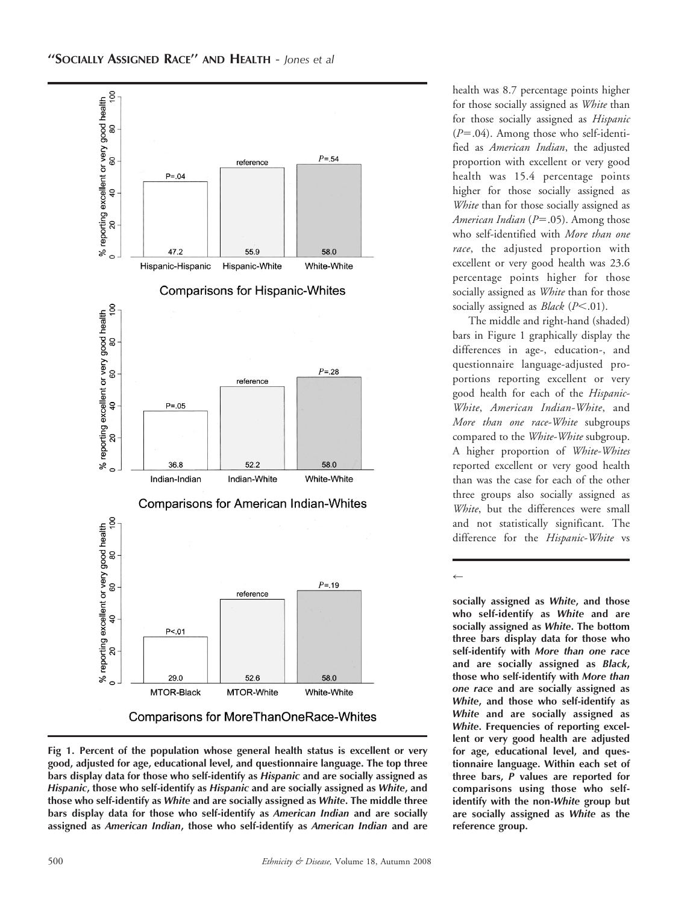



Fig 1. Percent of the population whose general health status is excellent or very good, adjusted for age, educational level, and questionnaire language. The top three bars display data for those who self-identify as Hispanic and are socially assigned as Hispanic, those who self-identify as Hispanic and are socially assigned as White, and those who self-identify as White and are socially assigned as White. The middle three bars display data for those who self-identify as American Indian and are socially assigned as American Indian, those who self-identify as American Indian and are

health was 8.7 percentage points higher for those socially assigned as White than for those socially assigned as Hispanic  $(P=.04)$ . Among those who self-identified as American Indian, the adjusted proportion with excellent or very good health was 15.4 percentage points higher for those socially assigned as White than for those socially assigned as American Indian ( $P = .05$ ). Among those who self-identified with More than one race, the adjusted proportion with excellent or very good health was 23.6 percentage points higher for those socially assigned as White than for those socially assigned as *Black* ( $P<.01$ ).

The middle and right-hand (shaded) bars in Figure 1 graphically display the differences in age-, education-, and questionnaire language-adjusted proportions reporting excellent or very good health for each of the Hispanic-White, American Indian-White, and More than one race-White subgroups compared to the White-White subgroup. A higher proportion of White-Whites reported excellent or very good health than was the case for each of the other three groups also socially assigned as White, but the differences were small and not statistically significant. The difference for the Hispanic-White vs

socially assigned as White, and those who self-identify as White and are socially assigned as White. The bottom three bars display data for those who self-identify with More than one race and are socially assigned as Black, those who self-identify with More than one race and are socially assigned as White, and those who self-identify as White and are socially assigned as White. Frequencies of reporting excellent or very good health are adjusted for age, educational level, and questionnaire language. Within each set of three bars, P values are reported for comparisons using those who selfidentify with the non-White group but are socially assigned as White as the reference group.

 $\leftarrow$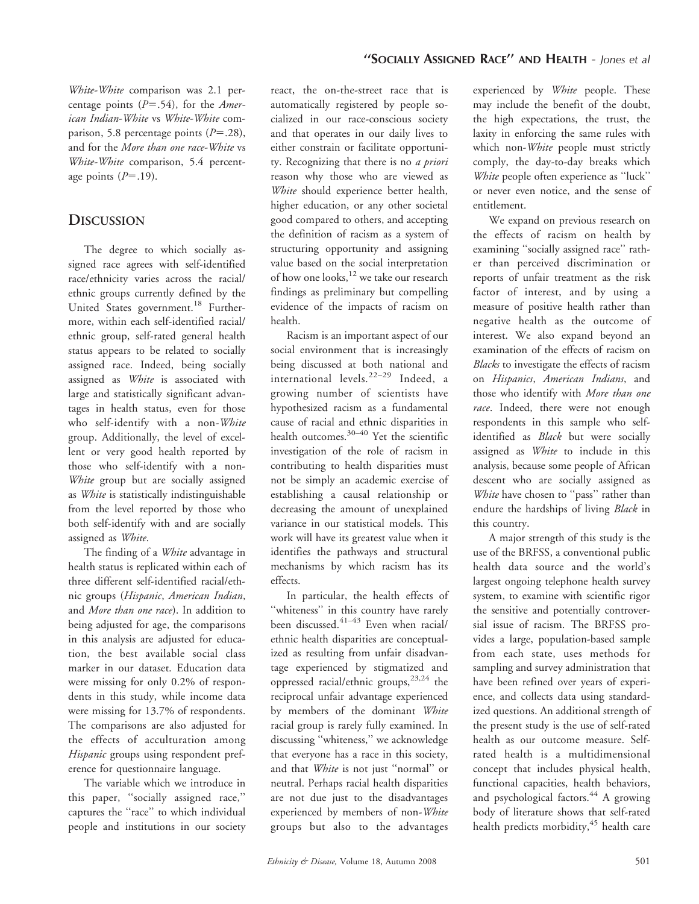White-White comparison was 2.1 percentage points  $(P=.54)$ , for the American Indian-White vs White-White comparison, 5.8 percentage points  $(P=.28)$ , and for the More than one race-White vs White-White comparison, 5.4 percentage points  $(P=.19)$ .

## **DISCUSSION**

The degree to which socially assigned race agrees with self-identified race/ethnicity varies across the racial/ ethnic groups currently defined by the United States government.<sup>18</sup> Furthermore, within each self-identified racial/ ethnic group, self-rated general health status appears to be related to socially assigned race. Indeed, being socially assigned as White is associated with large and statistically significant advantages in health status, even for those who self-identify with a non-White group. Additionally, the level of excellent or very good health reported by those who self-identify with a non-White group but are socially assigned as White is statistically indistinguishable from the level reported by those who both self-identify with and are socially assigned as White.

The finding of a White advantage in health status is replicated within each of three different self-identified racial/ethnic groups (Hispanic, American Indian, and More than one race). In addition to being adjusted for age, the comparisons in this analysis are adjusted for education, the best available social class marker in our dataset. Education data were missing for only 0.2% of respondents in this study, while income data were missing for 13.7% of respondents. The comparisons are also adjusted for the effects of acculturation among Hispanic groups using respondent preference for questionnaire language.

The variable which we introduce in this paper, ''socially assigned race,'' captures the ''race'' to which individual people and institutions in our society react, the on-the-street race that is automatically registered by people socialized in our race-conscious society and that operates in our daily lives to either constrain or facilitate opportunity. Recognizing that there is no a priori reason why those who are viewed as White should experience better health, higher education, or any other societal good compared to others, and accepting the definition of racism as a system of structuring opportunity and assigning value based on the social interpretation of how one looks,<sup>12</sup> we take our research findings as preliminary but compelling evidence of the impacts of racism on health.

Racism is an important aspect of our social environment that is increasingly being discussed at both national and international levels.22–29 Indeed, a growing number of scientists have hypothesized racism as a fundamental cause of racial and ethnic disparities in health outcomes.30–40 Yet the scientific investigation of the role of racism in contributing to health disparities must not be simply an academic exercise of establishing a causal relationship or decreasing the amount of unexplained variance in our statistical models. This work will have its greatest value when it identifies the pathways and structural mechanisms by which racism has its effects.

In particular, the health effects of "whiteness" in this country have rarely been discussed.<sup>41-43</sup> Even when racial/ ethnic health disparities are conceptualized as resulting from unfair disadvantage experienced by stigmatized and oppressed racial/ethnic groups, $^{23,24}$  the reciprocal unfair advantage experienced by members of the dominant White racial group is rarely fully examined. In discussing ''whiteness,'' we acknowledge that everyone has a race in this society, and that White is not just ''normal'' or neutral. Perhaps racial health disparities are not due just to the disadvantages experienced by members of non-White groups but also to the advantages

experienced by White people. These may include the benefit of the doubt, the high expectations, the trust, the laxity in enforcing the same rules with which non-White people must strictly comply, the day-to-day breaks which White people often experience as "luck" or never even notice, and the sense of entitlement.

We expand on previous research on the effects of racism on health by examining ''socially assigned race'' rather than perceived discrimination or reports of unfair treatment as the risk factor of interest, and by using a measure of positive health rather than negative health as the outcome of interest. We also expand beyond an examination of the effects of racism on Blacks to investigate the effects of racism on Hispanics, American Indians, and those who identify with More than one race. Indeed, there were not enough respondents in this sample who selfidentified as *Black* but were socially assigned as White to include in this analysis, because some people of African descent who are socially assigned as White have chosen to "pass" rather than endure the hardships of living Black in this country.

A major strength of this study is the use of the BRFSS, a conventional public health data source and the world's largest ongoing telephone health survey system, to examine with scientific rigor the sensitive and potentially controversial issue of racism. The BRFSS provides a large, population-based sample from each state, uses methods for sampling and survey administration that have been refined over years of experience, and collects data using standardized questions. An additional strength of the present study is the use of self-rated health as our outcome measure. Selfrated health is a multidimensional concept that includes physical health, functional capacities, health behaviors, and psychological factors.<sup>44</sup> A growing body of literature shows that self-rated health predicts morbidity,<sup>45</sup> health care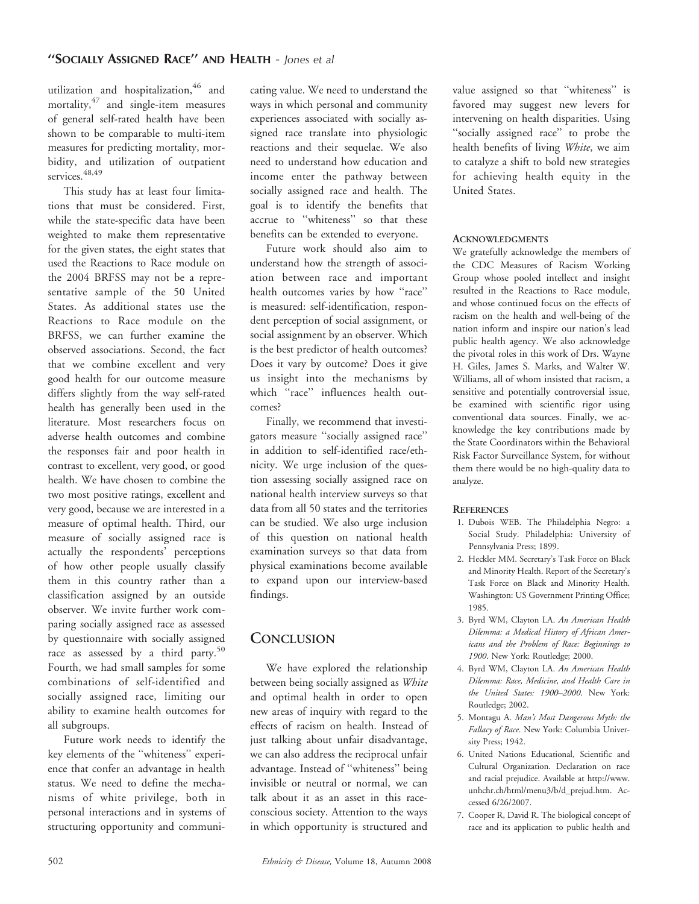### ''SOCIALLY ASSIGNED RACE'' AND HEALTH - Jones et al

utilization and hospitalization, <sup>46</sup> and mortality, $47$  and single-item measures of general self-rated health have been shown to be comparable to multi-item measures for predicting mortality, morbidity, and utilization of outpatient services. 48,49

This study has at least four limitations that must be considered. First, while the state-specific data have been weighted to make them representative for the given states, the eight states that used the Reactions to Race module on the 2004 BRFSS may not be a representative sample of the 50 United States. As additional states use the Reactions to Race module on the BRFSS, we can further examine the observed associations. Second, the fact that we combine excellent and very good health for our outcome measure differs slightly from the way self-rated health has generally been used in the literature. Most researchers focus on adverse health outcomes and combine the responses fair and poor health in contrast to excellent, very good, or good health. We have chosen to combine the two most positive ratings, excellent and very good, because we are interested in a measure of optimal health. Third, our measure of socially assigned race is actually the respondents' perceptions of how other people usually classify them in this country rather than a classification assigned by an outside observer. We invite further work comparing socially assigned race as assessed by questionnaire with socially assigned race as assessed by a third party.<sup>50</sup> Fourth, we had small samples for some combinations of self-identified and socially assigned race, limiting our ability to examine health outcomes for all subgroups.

Future work needs to identify the key elements of the ''whiteness'' experience that confer an advantage in health status. We need to define the mechanisms of white privilege, both in personal interactions and in systems of structuring opportunity and communicating value. We need to understand the ways in which personal and community experiences associated with socially assigned race translate into physiologic reactions and their sequelae. We also need to understand how education and income enter the pathway between socially assigned race and health. The goal is to identify the benefits that accrue to ''whiteness'' so that these benefits can be extended to everyone.

Future work should also aim to understand how the strength of association between race and important health outcomes varies by how "race" is measured: self-identification, respondent perception of social assignment, or social assignment by an observer. Which is the best predictor of health outcomes? Does it vary by outcome? Does it give us insight into the mechanisms by which ''race'' influences health outcomes?

Finally, we recommend that investigators measure ''socially assigned race'' in addition to self-identified race/ethnicity. We urge inclusion of the question assessing socially assigned race on national health interview surveys so that data from all 50 states and the territories can be studied. We also urge inclusion of this question on national health examination surveys so that data from physical examinations become available to expand upon our interview-based findings.

# **CONCLUSION**

We have explored the relationship between being socially assigned as White and optimal health in order to open new areas of inquiry with regard to the effects of racism on health. Instead of just talking about unfair disadvantage, we can also address the reciprocal unfair advantage. Instead of ''whiteness'' being invisible or neutral or normal, we can talk about it as an asset in this raceconscious society. Attention to the ways in which opportunity is structured and value assigned so that ''whiteness'' is favored may suggest new levers for intervening on health disparities. Using ''socially assigned race'' to probe the health benefits of living White, we aim to catalyze a shift to bold new strategies for achieving health equity in the United States.

#### **ACKNOWLEDGMENTS**

We gratefully acknowledge the members of the CDC Measures of Racism Working Group whose pooled intellect and insight resulted in the Reactions to Race module, and whose continued focus on the effects of racism on the health and well-being of the nation inform and inspire our nation's lead public health agency. We also acknowledge the pivotal roles in this work of Drs. Wayne H. Giles, James S. Marks, and Walter W. Williams, all of whom insisted that racism, a sensitive and potentially controversial issue, be examined with scientific rigor using conventional data sources. Finally, we acknowledge the key contributions made by the State Coordinators within the Behavioral Risk Factor Surveillance System, for without them there would be no high-quality data to analyze.

#### **REFERENCES**

- 1. Dubois WEB. The Philadelphia Negro: a Social Study. Philadelphia: University of Pennsylvania Press; 1899.
- 2. Heckler MM. Secretary's Task Force on Black and Minority Health. Report of the Secretary's Task Force on Black and Minority Health. Washington: US Government Printing Office; 1985.
- 3. Byrd WM, Clayton LA. An American Health Dilemma: a Medical History of African Americans and the Problem of Race: Beginnings to 1900. New York: Routledge; 2000.
- 4. Byrd WM, Clayton LA. An American Health Dilemma: Race, Medicine, and Health Care in the United States: 1900–2000. New York: Routledge; 2002.
- 5. Montagu A. Man's Most Dangerous Myth: the Fallacy of Race. New York: Columbia University Press; 1942.
- 6. United Nations Educational, Scientific and Cultural Organization. Declaration on race and racial prejudice. Available at http://www. unhchr.ch/html/menu3/b/d\_prejud.htm. Accessed 6/26/2007.
- 7. Cooper R, David R. The biological concept of race and its application to public health and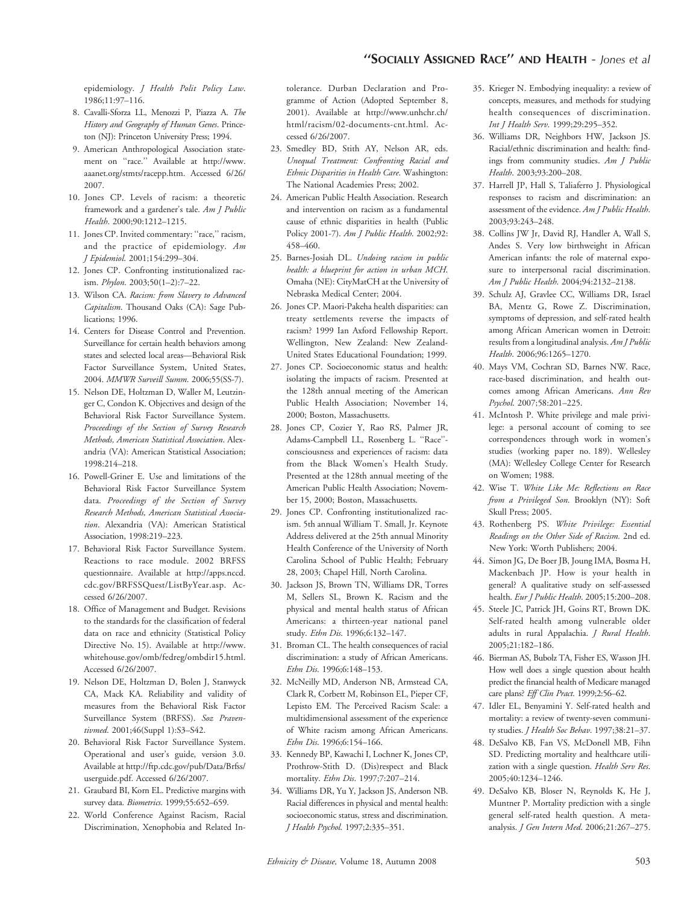epidemiology. J Health Polit Policy Law. 1986;11:97–116.

- 8. Cavalli-Sforza LL, Menozzi P, Piazza A. The History and Geography of Human Genes. Princeton (NJ): Princeton University Press; 1994.
- 9. American Anthropological Association statement on ''race.'' Available at http://www. aaanet.org/stmts/racepp.htm. Accessed 6/26/ 2007.
- 10. Jones CP. Levels of racism: a theoretic framework and a gardener's tale. Am J Public Health. 2000;90:1212–1215.
- 11. Jones CP. Invited commentary: ''race,'' racism, and the practice of epidemiology. Am J Epidemiol. 2001;154:299–304.
- 12. Jones CP. Confronting institutionalized racism. Phylon. 2003;50(1–2):7–22.
- 13. Wilson CA. Racism: from Slavery to Advanced Capitalism. Thousand Oaks (CA): Sage Publications; 1996.
- 14. Centers for Disease Control and Prevention. Surveillance for certain health behaviors among states and selected local areas—Behavioral Risk Factor Surveillance System, United States, 2004. MMWR Surveill Summ. 2006;55(SS-7).
- 15. Nelson DE, Holtzman D, Waller M, Leutzinger C, Condon K. Objectives and design of the Behavioral Risk Factor Surveillance System. Proceedings of the Section of Survey Research Methods, American Statistical Association. Alexandria (VA): American Statistical Association; 1998:214–218.
- 16. Powell-Griner E. Use and limitations of the Behavioral Risk Factor Surveillance System data. Proceedings of the Section of Survey Research Methods, American Statistical Association. Alexandria (VA): American Statistical Association, 1998:219–223.
- 17. Behavioral Risk Factor Surveillance System. Reactions to race module. 2002 BRFSS questionnaire. Available at http://apps.nccd. cdc.gov/BRFSSQuest/ListByYear.asp. Accessed 6/26/2007.
- 18. Office of Management and Budget. Revisions to the standards for the classification of federal data on race and ethnicity (Statistical Policy Directive No. 15). Available at http://www. whitehouse.gov/omb/fedreg/ombdir15.html. Accessed 6/26/2007.
- 19. Nelson DE, Holtzman D, Bolen J, Stanwyck CA, Mack KA. Reliability and validity of measures from the Behavioral Risk Factor Surveillance System (BRFSS). Soz Praventivmed. 2001;46(Suppl 1):S3-S42.
- 20. Behavioral Risk Factor Surveillance System. Operational and user's guide, version 3.0. Available at http://ftp.cdc.gov/pub/Data/Brfss/ userguide.pdf. Accessed 6/26/2007.
- 21. Graubard BI, Korn EL. Predictive margins with survey data. Biometrics. 1999;55:652-659.
- 22. World Conference Against Racism, Racial Discrimination, Xenophobia and Related In-

tolerance. Durban Declaration and Programme of Action (Adopted September 8, 2001). Available at http://www.unhchr.ch/ html/racism/02-documents-cnt.html. Accessed 6/26/2007.

- 23. Smedley BD, Stith AY, Nelson AR, eds. Unequal Treatment: Confronting Racial and Ethnic Disparities in Health Care. Washington: The National Academies Press; 2002.
- 24. American Public Health Association. Research and intervention on racism as a fundamental cause of ethnic disparities in health (Public Policy 2001-7). Am J Public Health. 2002;92: 458–460.
- 25. Barnes-Josiah DL. Undoing racism in public health: a blueprint for action in urban MCH. Omaha (NE): CityMatCH at the University of Nebraska Medical Center; 2004.
- 26. Jones CP. Maori-Pakeha health disparities: can treaty settlements reverse the impacts of racism? 1999 Ian Axford Fellowship Report. Wellington, New Zealand: New Zealand-United States Educational Foundation; 1999.
- 27. Jones CP. Socioeconomic status and health: isolating the impacts of racism. Presented at the 128th annual meeting of the American Public Health Association; November 14, 2000; Boston, Massachusetts.
- 28. Jones CP, Cozier Y, Rao RS, Palmer JR, Adams-Campbell LL, Rosenberg L. ''Race'' consciousness and experiences of racism: data from the Black Women's Health Study. Presented at the 128th annual meeting of the American Public Health Association; November 15, 2000; Boston, Massachusetts.
- 29. Jones CP. Confronting institutionalized racism. 5th annual William T. Small, Jr. Keynote Address delivered at the 25th annual Minority Health Conference of the University of North Carolina School of Public Health; February 28, 2003; Chapel Hill, North Carolina.
- 30. Jackson JS, Brown TN, Williams DR, Torres M, Sellers SL, Brown K. Racism and the physical and mental health status of African Americans: a thirteen-year national panel study. Ethn Dis. 1996;6:132–147.
- 31. Broman CL. The health consequences of racial discrimination: a study of African Americans. Ethn Dis. 1996;6:148–153.
- 32. McNeilly MD, Anderson NB, Armstead CA, Clark R, Corbett M, Robinson EL, Pieper CF, Lepisto EM. The Perceived Racism Scale: a multidimensional assessment of the experience of White racism among African Americans. Ethn Dis. 1996;6:154–166.
- 33. Kennedy BP, Kawachi I, Lochner K, Jones CP, Prothrow-Stith D. (Dis)respect and Black mortality. Ethn Dis. 1997;7:207–214.
- 34. Williams DR, Yu Y, Jackson JS, Anderson NB. Racial differences in physical and mental health: socioeconomic status, stress and discrimination. J Health Psychol. 1997;2:335–351.
- 35. Krieger N. Embodying inequality: a review of concepts, measures, and methods for studying health consequences of discrimination. Int J Health Serv. 1999;29:295–352.
- 36. Williams DR, Neighbors HW, Jackson JS. Racial/ethnic discrimination and health: findings from community studies. Am J Public Health. 2003;93:200–208.
- 37. Harrell JP, Hall S, Taliaferro J. Physiological responses to racism and discrimination: an assessment of the evidence. Am J Public Health. 2003;93:243–248.
- 38. Collins JW Jr, David RJ, Handler A, Wall S, Andes S. Very low birthweight in African American infants: the role of maternal exposure to interpersonal racial discrimination. Am J Public Health. 2004;94:2132–2138.
- 39. Schulz AJ, Gravlee CC, Williams DR, Israel BA, Mentz G, Rowe Z. Discrimination, symptoms of depression, and self-rated health among African American women in Detroit: results from a longitudinal analysis. Am J Public Health. 2006;96:1265–1270.
- 40. Mays VM, Cochran SD, Barnes NW. Race, race-based discrimination, and health outcomes among African Americans. Ann Rev Psychol. 2007;58:201–225.
- 41. McIntosh P. White privilege and male privilege: a personal account of coming to see correspondences through work in women's studies (working paper no. 189). Wellesley (MA): Wellesley College Center for Research on Women; 1988.
- 42. Wise T. White Like Me: Reflections on Race from a Privileged Son. Brooklyn (NY): Soft Skull Press; 2005.
- 43. Rothenberg PS. White Privilege: Essential Readings on the Other Side of Racism. 2nd ed. New York: Worth Publishers; 2004.
- 44. Simon JG, De Boer JB, Joung IMA, Bosma H, Mackenbach JP. How is your health in general? A qualitative study on self-assessed health. Eur J Public Health. 2005;15:200–208.
- 45. Steele JC, Patrick JH, Goins RT, Brown DK. Self-rated health among vulnerable older adults in rural Appalachia. J Rural Health. 2005;21:182–186.
- 46. Bierman AS, Bubolz TA, Fisher ES, Wasson JH. How well does a single question about health predict the financial health of Medicare managed care plans? Eff Clin Pract. 1999;2:56–62.
- 47. Idler EL, Benyamini Y. Self-rated health and mortality: a review of twenty-seven community studies. J Health Soc Behav. 1997;38:21–37.
- 48. DeSalvo KB, Fan VS, McDonell MB, Fihn SD. Predicting mortality and healthcare utilization with a single question. Health Serv Res. 2005;40:1234–1246.
- 49. DeSalvo KB, Bloser N, Reynolds K, He J, Muntner P. Mortality prediction with a single general self-rated health question. A metaanalysis. J Gen Intern Med. 2006;21:267–275.